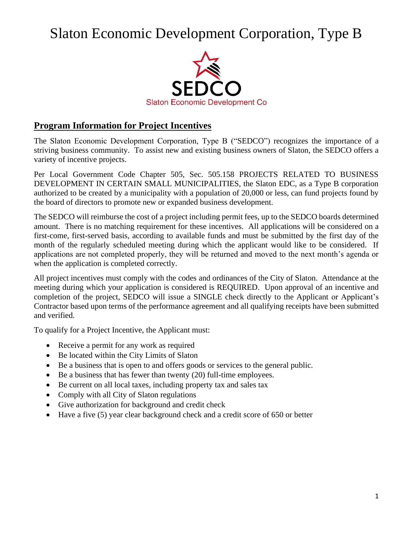# Slaton Economic Development Corporation, Type B



### **Program Information for Project Incentives**

The Slaton Economic Development Corporation, Type B ("SEDCO") recognizes the importance of a striving business community. To assist new and existing business owners of Slaton, the SEDCO offers a variety of incentive projects.

Per Local Government Code Chapter 505, Sec. 505.158 PROJECTS RELATED TO BUSINESS DEVELOPMENT IN CERTAIN SMALL MUNICIPALITIES, the Slaton EDC, as a Type B corporation authorized to be created by a municipality with a population of 20,000 or less, can fund projects found by the board of directors to promote new or expanded business development.

The SEDCO will reimburse the cost of a project including permit fees, up to the SEDCO boards determined amount. There is no matching requirement for these incentives. All applications will be considered on a first-come, first-served basis, according to available funds and must be submitted by the first day of the month of the regularly scheduled meeting during which the applicant would like to be considered. If applications are not completed properly, they will be returned and moved to the next month's agenda or when the application is completed correctly.

All project incentives must comply with the codes and ordinances of the City of Slaton. Attendance at the meeting during which your application is considered is REQUIRED. Upon approval of an incentive and completion of the project, SEDCO will issue a SINGLE check directly to the Applicant or Applicant's Contractor based upon terms of the performance agreement and all qualifying receipts have been submitted and verified.

To qualify for a Project Incentive, the Applicant must:

- Receive a permit for any work as required
- Be located within the City Limits of Slaton
- Be a business that is open to and offers goods or services to the general public.
- Be a business that has fewer than twenty (20) full-time employees.
- Be current on all local taxes, including property tax and sales tax
- Comply with all City of Slaton regulations
- Give authorization for background and credit check
- Have a five (5) year clear background check and a credit score of 650 or better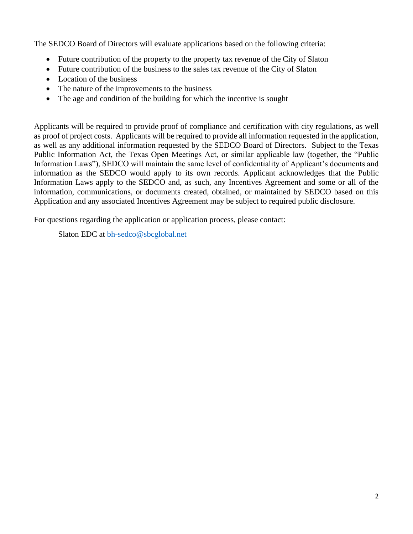The SEDCO Board of Directors will evaluate applications based on the following criteria:

- Future contribution of the property to the property tax revenue of the City of Slaton
- Future contribution of the business to the sales tax revenue of the City of Slaton
- Location of the business
- The nature of the improvements to the business
- The age and condition of the building for which the incentive is sought

Applicants will be required to provide proof of compliance and certification with city regulations, as well as proof of project costs. Applicants will be required to provide all information requested in the application, as well as any additional information requested by the SEDCO Board of Directors. Subject to the Texas Public Information Act, the Texas Open Meetings Act, or similar applicable law (together, the "Public Information Laws"), SEDCO will maintain the same level of confidentiality of Applicant's documents and information as the SEDCO would apply to its own records. Applicant acknowledges that the Public Information Laws apply to the SEDCO and, as such, any Incentives Agreement and some or all of the information, communications, or documents created, obtained, or maintained by SEDCO based on this Application and any associated Incentives Agreement may be subject to required public disclosure.

For questions regarding the application or application process, please contact:

Slaton EDC at [bh-sedco@sbcglobal.net](mailto:bh-sedco@sbcglobal.net)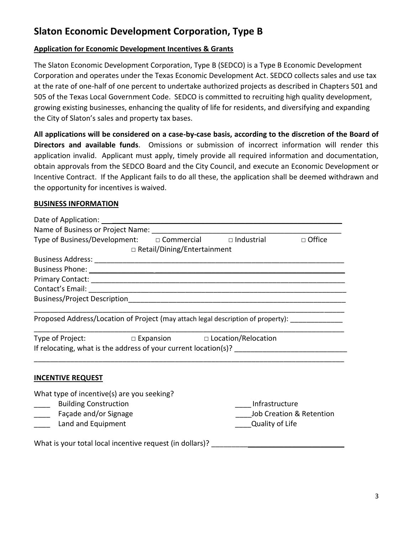## **Slaton Economic Development Corporation, Type B**

#### **Application for Economic Development Incentives & Grants**

The Slaton Economic Development Corporation, Type B (SEDCO) is a Type B Economic Development Corporation and operates under the Texas Economic Development Act. SEDCO collects sales and use tax at the rate of one-half of one percent to undertake authorized projects as described in Chapters 501 and 505 of the Texas Local Government Code. SEDCO is committed to recruiting high quality development, growing existing businesses, enhancing the quality of life for residents, and diversifying and expanding the City of Slaton's sales and property tax bases.

**All applications will be considered on a case-by-case basis, according to the discretion of the Board of Directors and available funds**. Omissions or submission of incorrect information will render this application invalid. Applicant must apply, timely provide all required information and documentation, obtain approvals from the SEDCO Board and the City Council, and execute an Economic Development or Incentive Contract. If the Applicant fails to do all these, the application shall be deemed withdrawn and the opportunity for incentives is waived.

#### **BUSINESS INFORMATION**

| Type of Business/Development: $\Box$ Commercial $\Box$ Industrial                                                                                                                                                                    |                               |                          | □ Office |
|--------------------------------------------------------------------------------------------------------------------------------------------------------------------------------------------------------------------------------------|-------------------------------|--------------------------|----------|
|                                                                                                                                                                                                                                      | □ Retail/Dining/Entertainment |                          |          |
|                                                                                                                                                                                                                                      |                               |                          |          |
| Business Phone: <u>All and the second contract of the second contract of the second contract of the second contract of the second contract of the second contract of the second contract of the second contract of the second co</u> |                               |                          |          |
|                                                                                                                                                                                                                                      |                               |                          |          |
|                                                                                                                                                                                                                                      |                               |                          |          |
|                                                                                                                                                                                                                                      |                               |                          |          |
| Proposed Address/Location of Project (may attach legal description of property): _____________                                                                                                                                       |                               |                          |          |
| Type of Project: □ Expansion □ Location/Relocation                                                                                                                                                                                   |                               |                          |          |
|                                                                                                                                                                                                                                      |                               |                          |          |
| <b>INCENTIVE REQUEST</b>                                                                                                                                                                                                             |                               |                          |          |
| What type of incentive(s) are you seeking?                                                                                                                                                                                           |                               |                          |          |
| <b>Building Construction</b>                                                                                                                                                                                                         |                               | Infrastructure           |          |
| Façade and/or Signage                                                                                                                                                                                                                |                               | Job Creation & Retention |          |
| Land and Equipment                                                                                                                                                                                                                   |                               | Quality of Life          |          |
| What is your total local incentive request (in dollars)? _______________________                                                                                                                                                     |                               |                          |          |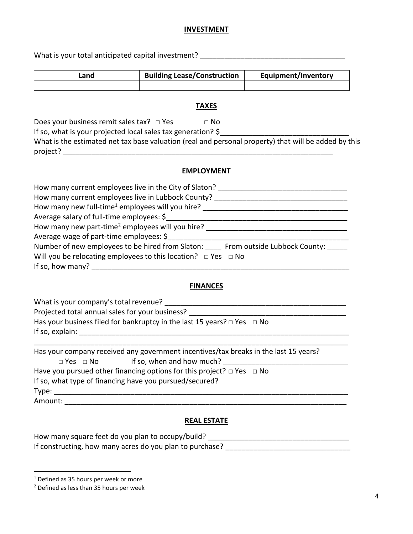#### **INVESTMENT**

What is your total anticipated capital investment? \_\_\_\_\_\_\_\_\_\_\_\_\_\_\_\_\_\_\_\_\_\_\_\_\_\_\_\_\_

| Land | <b>Building Lease/Construction</b> | <b>Equipment/Inventory</b> |
|------|------------------------------------|----------------------------|
|      |                                    |                            |

#### **TAXES**

Does your business remit sales tax?  $\square$  Yes  $\square$  No

If so, what is your projected local sales tax generation?  $\zeta$ 

What is the estimated net tax base valuation (real and personal property) that will be added by this project? \_\_\_\_\_\_\_\_\_\_\_\_\_\_\_\_\_\_\_\_\_\_\_\_\_\_\_\_\_\_\_\_\_\_\_\_\_\_\_\_\_\_\_\_\_\_\_\_\_\_\_\_\_\_\_\_\_\_\_\_\_\_\_\_\_\_\_

#### **EMPLOYMENT**

| How many current employees live in the City of Slaton?                        |
|-------------------------------------------------------------------------------|
| How many current employees live in Lubbock County?                            |
| How many new full-time <sup>1</sup> employees will you hire?                  |
| Average salary of full-time employees: \$                                     |
| How many new part-time <sup>2</sup> employees will you hire?                  |
| Average wage of part-time employees: \$                                       |
| Number of new employees to be hired from Slaton: From outside Lubbock County: |
| Will you be relocating employees to this location? $\Box$ Yes $\Box$ No       |
| If so, how many?                                                              |

#### **FINANCES**

| What is your company's total revenue?                                             |
|-----------------------------------------------------------------------------------|
| Projected total annual sales for your business?                                   |
| Has your business filed for bankruptcy in the last 15 years? $\Box$ Yes $\Box$ No |
| If so, explain:                                                                   |
|                                                                                   |

|                                                                                 |                      | Has your company received any government incentives/tax breaks in the last 15 years? |  |  |
|---------------------------------------------------------------------------------|----------------------|--------------------------------------------------------------------------------------|--|--|
|                                                                                 | $\Box$ Yes $\Box$ No | If so, when and how much?                                                            |  |  |
| Have you pursued other financing options for this project? $\Box$ Yes $\Box$ No |                      |                                                                                      |  |  |
| If so, what type of financing have you pursued/secured?                         |                      |                                                                                      |  |  |
| Type:                                                                           |                      |                                                                                      |  |  |
| Amount:                                                                         |                      |                                                                                      |  |  |

#### **REAL ESTATE**

How many square feet do you plan to occupy/build? \_\_\_\_\_\_\_\_\_\_\_\_\_\_\_\_\_\_\_\_\_\_\_\_\_\_\_\_\_\_\_ If constructing, how many acres do you plan to purchase? \_\_\_\_\_\_\_\_\_\_\_\_\_\_\_\_\_\_\_\_\_\_\_\_\_\_\_\_\_\_\_

<sup>&</sup>lt;sup>1</sup> Defined as 35 hours per week or more

<sup>2</sup> Defined as less than 35 hours per week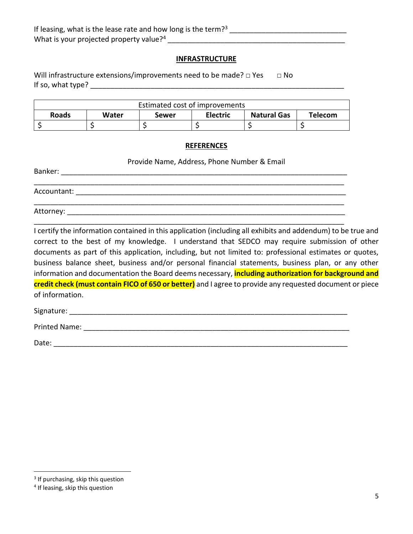#### **INFRASTRUCTURE**

Will infrastructure extensions/improvements need to be made?  $\Box$  Yes  $\Box$  No If so, what type?  $\blacksquare$ 

| Estimated cost of improvements |       |       |                 |                    |         |
|--------------------------------|-------|-------|-----------------|--------------------|---------|
| <b>Roads</b>                   | Water | Sewer | <b>Electric</b> | <b>Natural Gas</b> | Telecom |
|                                |       |       |                 |                    |         |

#### **REFERENCES**

Provide Name, Address, Phone Number & Email

| Banker:     |  |  |  |
|-------------|--|--|--|
|             |  |  |  |
| Accountant: |  |  |  |
|             |  |  |  |
| Attorney:   |  |  |  |

\_\_\_\_\_\_\_\_\_\_\_\_\_\_\_\_\_\_\_\_\_\_\_\_\_\_\_\_\_\_\_\_\_\_\_\_\_\_\_\_\_\_\_\_\_\_\_\_\_\_\_\_\_\_\_\_\_\_\_\_\_\_\_\_\_\_\_\_\_\_\_\_\_\_\_\_\_

I certify the information contained in this application (including all exhibits and addendum) to be true and correct to the best of my knowledge. I understand that SEDCO may require submission of other documents as part of this application, including, but not limited to: professional estimates or quotes, business balance sheet, business and/or personal financial statements, business plan, or any other information and documentation the Board deems necessary, **including authorization for background and credit check (must contain FICO of 650 or better)** and I agree to provide any requested document or piece of information.

Signature: \_\_\_\_\_\_\_\_\_\_\_\_\_\_\_\_\_\_\_\_\_\_\_\_\_\_\_\_\_\_\_\_\_\_\_\_\_\_\_\_\_\_\_\_\_\_\_\_\_\_\_\_\_\_\_\_\_\_\_\_\_\_\_\_\_\_\_\_\_

Printed Name:  $\blacksquare$ 

Date: \_\_\_\_\_\_\_\_\_\_\_\_\_\_\_\_\_\_\_\_\_\_\_\_\_\_\_\_\_\_\_\_\_\_\_\_\_\_\_\_\_\_\_\_\_\_\_\_\_\_\_\_\_\_\_\_\_\_\_\_\_\_\_\_\_\_\_\_\_\_\_\_\_

<sup>&</sup>lt;sup>3</sup> If purchasing, skip this question

<sup>&</sup>lt;sup>4</sup> If leasing, skip this question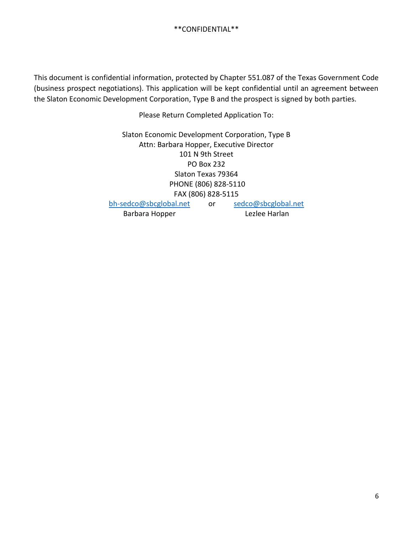This document is confidential information, protected by Chapter 551.087 of the Texas Government Code (business prospect negotiations). This application will be kept confidential until an agreement between the Slaton Economic Development Corporation, Type B and the prospect is signed by both parties.

Please Return Completed Application To:

Slaton Economic Development Corporation, Type B Attn: Barbara Hopper, Executive Director 101 N 9th Street PO Box 232 Slaton Texas 79364 PHONE (806) 828-5110 FAX (806) 828-5115 [bh-sedco@sbcglobal.net](mailto:bh-sedco@sbcglobal.net) or [sedco@sbcglobal.net](mailto:sedco@sbcglobal.net)

Barbara Hopper Lezlee Harlan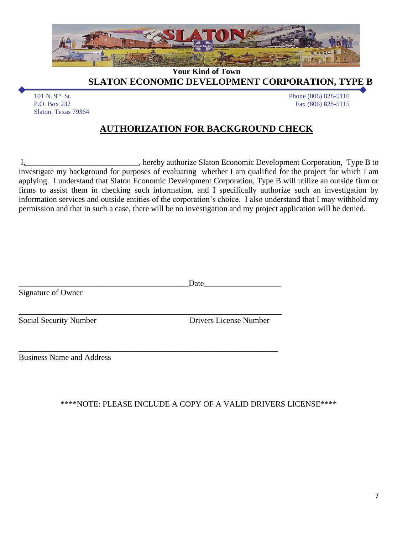

**Your Kind of Town**

**SLATON ECONOMIC DEVELOPMENT CORPORATION, TYPE B** 

101 N. 9<sup>th</sup> St.<br>P.O. Box 232 Slaton, Texas 79364 Phone (806) 828-5110 Fax (806) 828-5115

## **AUTHORIZATION FOR BACKGROUND CHECK**

I,\_\_\_\_\_\_\_\_\_\_\_\_\_\_\_\_\_\_\_\_\_\_\_\_\_\_\_\_, hereby authorize Slaton Economic Development Corporation, Type B to investigate my background for purposes of evaluating whether I am qualified for the project for which I am applying. I understand that Slaton Economic Development Corporation, Type B will utilize an outside firm or firms to assist them in checking such information, and I specifically authorize such an investigation by information services and outside entities of the corporation's choice. I also understand that I may withhold my permission and that in such a case, there will be no investigation and my project application will be denied.

|                                  | Date                          |
|----------------------------------|-------------------------------|
| Signature of Owner               |                               |
|                                  |                               |
| Social Security Number           | <b>Drivers License Number</b> |
|                                  |                               |
| <b>Business Name and Address</b> |                               |
|                                  |                               |

#### \*\*\*\*NOTE: PLEASE INCLUDE A COPY OF A VALID DRIVERS LICENSE\*\*\*\*